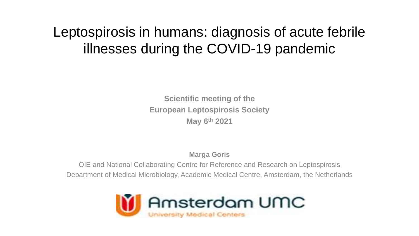### Leptospirosis in humans: diagnosis of acute febrile illnesses during the COVID-19 pandemic

**Scientific meeting of the European Leptospirosis Society May 6th 2021**

**Marga Goris**

OIE and National Collaborating Centre for Reference and Research on Leptospirosis Department of Medical Microbiology, Academic Medical Centre, Amsterdam, the Netherlands

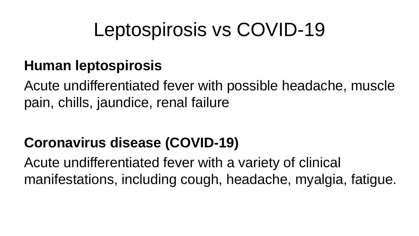## Leptospirosis vs COVID-19

### **Human leptospirosis**

Acute undifferentiated fever with possible headache, muscle pain, chills, jaundice, renal failure

### **Coronavirus disease (COVID-19)**

Acute undifferentiated fever with a variety of clinical manifestations, including cough, headache, myalgia, fatigue.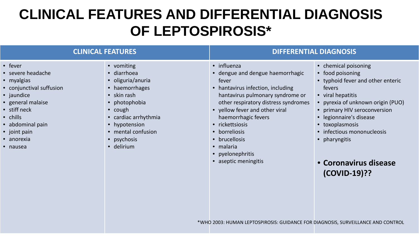### **CLINICAL FEATURES AND DIFFERENTIAL DIAGNOSIS OF LEPTOSPIROSIS\***

| <b>CLINICAL FEATURES</b>                                                                                                                                                                                    |                                                                                                                                                                                                                         | <b>DIFFERENTIAL DIAGNOSIS</b>                                                                                                                                                                                                                                                                                                                    |                                                                                                                                                                                                                                                                                                                         |
|-------------------------------------------------------------------------------------------------------------------------------------------------------------------------------------------------------------|-------------------------------------------------------------------------------------------------------------------------------------------------------------------------------------------------------------------------|--------------------------------------------------------------------------------------------------------------------------------------------------------------------------------------------------------------------------------------------------------------------------------------------------------------------------------------------------|-------------------------------------------------------------------------------------------------------------------------------------------------------------------------------------------------------------------------------------------------------------------------------------------------------------------------|
| • fever<br>• severe headache<br>• myalgias<br>• conjunctival suffusion<br>• jaundice<br>• general malaise<br>• stiff neck<br>$\bullet$ chills<br>• abdominal pain<br>• joint pain<br>• anorexia<br>• nausea | • vomiting<br>• diarrhoea<br>• oliguria/anuria<br>• haemorrhages<br>$\bullet$ skin rash<br>• photophobia<br>$\bullet$ cough<br>• cardiac arrhythmia<br>• hypotension<br>• mental confusion<br>• psychosis<br>· delirium | • influenza<br>• dengue and dengue haemorrhagic<br>fever<br>• hantavirus infection, including<br>hantavirus pulmonary syndrome or<br>other respiratory distress syndromes<br>• yellow fever and other viral<br>haemorrhagic fevers<br>• rickettsiosis<br>• borreliosis<br>• brucellosis<br>• malaria<br>• pyelonephritis<br>• aseptic meningitis | • chemical poisoning<br>• food poisoning<br>• typhoid fever and other enteric<br>fevers<br>• viral hepatitis<br>• pyrexia of unknown origin (PUO)<br>• primary HIV seroconversion<br>• legionnaire's disease<br>• toxoplasmosis<br>• infectious mononucleosis<br>• pharyngitis<br>• Coronavirus disease<br>(COVID-19)?? |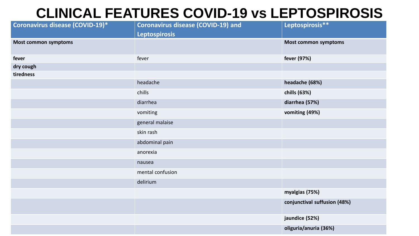#### **CLINICAL FEATURES COVID-19 vs LEPTOSPIROSIS**

| Coronavirus disease (COVID-19)* | <b>Coronavirus disease (COVID-19) and</b> | Leptospirosis**              |
|---------------------------------|-------------------------------------------|------------------------------|
|                                 | <b>Leptospirosis</b>                      |                              |
| <b>Most common symptoms</b>     |                                           | <b>Most common symptoms</b>  |
| fever                           | fever                                     | fever (97%)                  |
| dry cough                       |                                           |                              |
| tiredness                       |                                           |                              |
|                                 | headache                                  | headache (68%)               |
|                                 | chills                                    | chills (63%)                 |
|                                 | diarrhea                                  | diarrhea (57%)               |
|                                 | vomiting                                  | vomiting (49%)               |
|                                 | general malaise                           |                              |
|                                 | skin rash                                 |                              |
|                                 | abdominal pain                            |                              |
|                                 | anorexia                                  |                              |
|                                 | nausea                                    |                              |
|                                 | mental confusion                          |                              |
|                                 | delirium                                  |                              |
|                                 |                                           | myalgias (75%)               |
|                                 |                                           | conjunctival suffusion (48%) |
|                                 |                                           | jaundice (52%)               |
|                                 |                                           | oliguria/anuria (36%)        |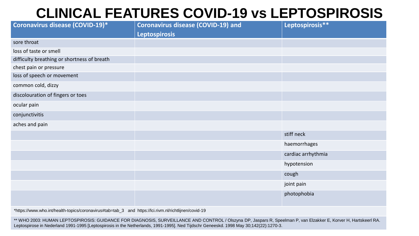#### **CLINICAL FEATURES COVID-19 vs LEPTOSPIROSIS**

| Coronavirus disease (COVID-19)*             | <b>Coronavirus disease (COVID-19) and</b> | Leptospirosis**    |
|---------------------------------------------|-------------------------------------------|--------------------|
|                                             | <b>Leptospirosis</b>                      |                    |
| sore throat                                 |                                           |                    |
| loss of taste or smell                      |                                           |                    |
| difficulty breathing or shortness of breath |                                           |                    |
| chest pain or pressure                      |                                           |                    |
| loss of speech or movement                  |                                           |                    |
| common cold, dizzy                          |                                           |                    |
| discolouration of fingers or toes           |                                           |                    |
| ocular pain                                 |                                           |                    |
| conjunctivitis                              |                                           |                    |
| aches and pain                              |                                           |                    |
|                                             |                                           | stiff neck         |
|                                             |                                           | haemorrhages       |
|                                             |                                           | cardiac arrhythmia |
|                                             |                                           | hypotension        |
|                                             |                                           | cough              |
|                                             |                                           | joint pain         |
|                                             |                                           | photophobia        |
|                                             |                                           |                    |

\*https://www.who.int/health-topics/coronavirus#tab=tab\_3 and https://lci.rivm.nl/richtlijnen/covid-19

\*\* WHO 2003: HUMAN LEPTOSPIROSIS: GUIDANCE FOR DIAGNOSIS, SURVEILLANCE AND CONTROL / Olszyna DP, Jaspars R, Speelman P, van Elzakker E, Korver H, Hartskeerl RA. Leptospirose in Nederland 1991-1995 [Leptospirosis in the Netherlands, 1991-1995]. Ned Tijdschr Geneeskd. 1998 May 30;142(22):1270-3.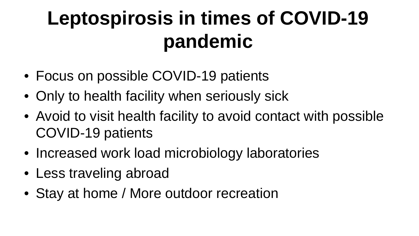# **Leptospirosis in times of COVID-19 pandemic**

- Focus on possible COVID-19 patients
- Only to health facility when seriously sick
- Avoid to visit health facility to avoid contact with possible COVID-19 patients
- Increased work load microbiology laboratories
- Less traveling abroad
- Stay at home / More outdoor recreation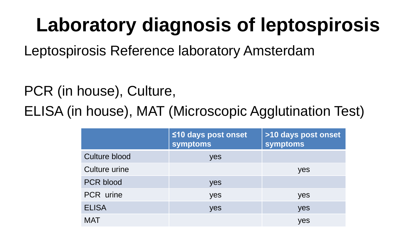# **Laboratory diagnosis of leptospirosis**

Leptospirosis Reference laboratory Amsterdam

PCR (in house), Culture, ELISA (in house), MAT (Microscopic Agglutination Test)

|                  | ≤10 days post onset<br>symptoms | >10 days post onset<br>symptoms |
|------------------|---------------------------------|---------------------------------|
| Culture blood    | yes                             |                                 |
| Culture urine    |                                 | yes                             |
| <b>PCR blood</b> | yes                             |                                 |
| PCR urine        | yes                             | yes                             |
| <b>ELISA</b>     | yes                             | yes                             |
| <b>MAT</b>       |                                 | yes                             |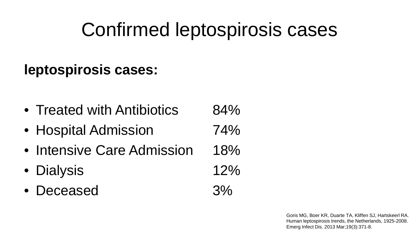## Confirmed leptospirosis cases

### **leptospirosis cases:**

- Treated with Antibiotics 84%
- Hospital Admission 74%
- Intensive Care Admission 18%
- Dialysis 12%
- Deceased 3%

Goris MG, Boer KR, Duarte TA, Kliffen SJ, Hartskeerl RA. Human leptospirosis trends, the Netherlands, 1925-2008. Emerg Infect Dis. 2013 Mar;19(3):371-8.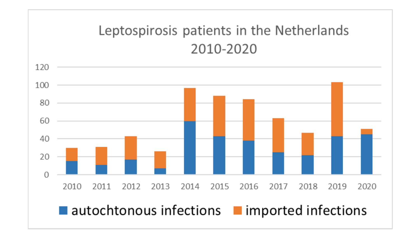### Leptospirosis patients in the Netherlands 2010-2020

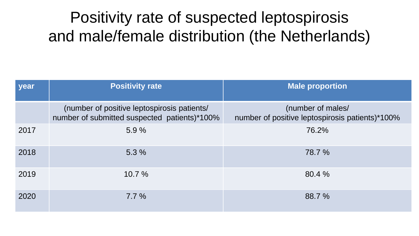### Positivity rate of suspected leptospirosis and male/female distribution (the Netherlands)

| year | <b>Positivity rate</b>                                                                      | <b>Male proportion</b>                                               |
|------|---------------------------------------------------------------------------------------------|----------------------------------------------------------------------|
|      | (number of positive leptospirosis patients/<br>number of submitted suspected patients)*100% | (number of males/<br>number of positive leptospirosis patients)*100% |
| 2017 | 5.9%                                                                                        | 76.2%                                                                |
| 2018 | 5.3%                                                                                        | 78.7 %                                                               |
| 2019 | 10.7%                                                                                       | 80.4 %                                                               |
| 2020 | $7.7\%$                                                                                     | 88.7 %                                                               |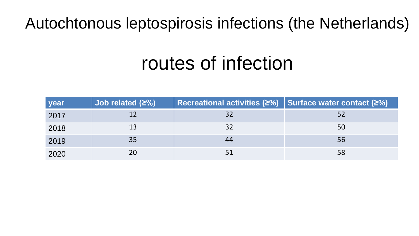### Autochtonous leptospirosis infections (the Netherlands)

## routes of infection

| <b>year</b> | Job related $(2%)$ | Recreational activities ( $\geq$ %) Surface water contact ( $\geq$ %) |    |
|-------------|--------------------|-----------------------------------------------------------------------|----|
| 2017        |                    | 32                                                                    |    |
| 2018        | 13                 | 32                                                                    | 50 |
| 2019        | 35                 | 44                                                                    | 56 |
| 2020        | 20                 |                                                                       | 58 |